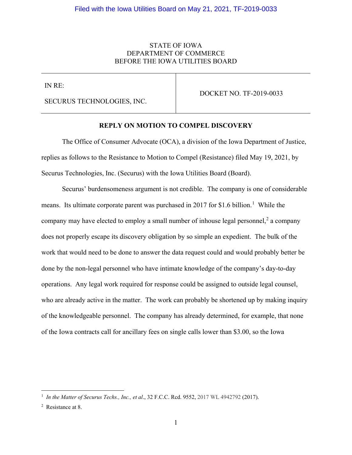## STATE OF IOWA DEPARTMENT OF COMMERCE BEFORE THE IOWA UTILITIES BOARD

IN RE:

SECURUS TECHNOLOGIES, INC.

DOCKET NO. TF-2019-0033

#### **REPLY ON MOTION TO COMPEL DISCOVERY**

The Office of Consumer Advocate (OCA), a division of the Iowa Department of Justice, replies as follows to the Resistance to Motion to Compel (Resistance) filed May 19, 2021, by Securus Technologies, Inc. (Securus) with the Iowa Utilities Board (Board).

Securus' burdensomeness argument is not credible. The company is one of considerable means. Its ultimate corporate parent was purchased in 20[1](#page-0-0)7 for \$1.6 billion.<sup>1</sup> While the company may have elected to employ a small number of inhouse legal personnel,  $2$  a company does not properly escape its discovery obligation by so simple an expedient. The bulk of the work that would need to be done to answer the data request could and would probably better be done by the non-legal personnel who have intimate knowledge of the company's day-to-day operations. Any legal work required for response could be assigned to outside legal counsel, who are already active in the matter. The work can probably be shortened up by making inquiry of the knowledgeable personnel. The company has already determined, for example, that none of the Iowa contracts call for ancillary fees on single calls lower than \$3.00, so the Iowa

<span id="page-0-0"></span> <sup>1</sup> *In the Matter of Securus Techs., Inc., et al*., 32 F.C.C. Rcd. 9552, 2017 WL 4942792 (2017).

<span id="page-0-1"></span><sup>2</sup> Resistance at 8.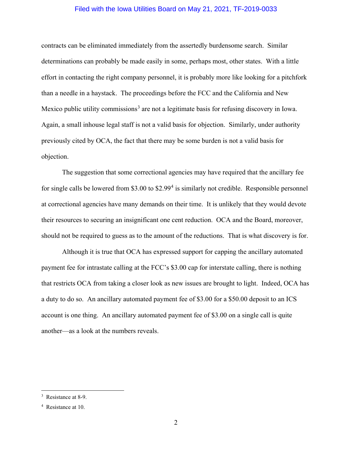### Filed with the Iowa Utilities Board on May 21, 2021, TF-2019-0033

contracts can be eliminated immediately from the assertedly burdensome search. Similar determinations can probably be made easily in some, perhaps most, other states. With a little effort in contacting the right company personnel, it is probably more like looking for a pitchfork than a needle in a haystack. The proceedings before the FCC and the California and New Mexico public utility commissions<sup>[3](#page-1-0)</sup> are not a legitimate basis for refusing discovery in Iowa. Again, a small inhouse legal staff is not a valid basis for objection. Similarly, under authority previously cited by OCA, the fact that there may be some burden is not a valid basis for objection.

The suggestion that some correctional agencies may have required that the ancillary fee for single calls be lowered from \$3.00 to \$2.99<sup>[4](#page-1-1)</sup> is similarly not credible. Responsible personnel at correctional agencies have many demands on their time. It is unlikely that they would devote their resources to securing an insignificant one cent reduction. OCA and the Board, moreover, should not be required to guess as to the amount of the reductions. That is what discovery is for.

Although it is true that OCA has expressed support for capping the ancillary automated payment fee for intrastate calling at the FCC's \$3.00 cap for interstate calling, there is nothing that restricts OCA from taking a closer look as new issues are brought to light. Indeed, OCA has a duty to do so. An ancillary automated payment fee of \$3.00 for a \$50.00 deposit to an ICS account is one thing. An ancillary automated payment fee of \$3.00 on a single call is quite another—as a look at the numbers reveals.

<span id="page-1-0"></span><sup>&</sup>lt;sup>3</sup> Resistance at 8-9.

<span id="page-1-1"></span><sup>4</sup> Resistance at 10.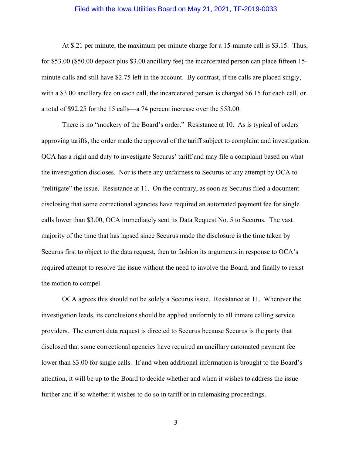#### Filed with the Iowa Utilities Board on May 21, 2021, TF-2019-0033

At \$.21 per minute, the maximum per minute charge for a 15-minute call is \$3.15. Thus, for \$53.00 (\$50.00 deposit plus \$3.00 ancillary fee) the incarcerated person can place fifteen 15 minute calls and still have \$2.75 left in the account. By contrast, if the calls are placed singly, with a \$3.00 ancillary fee on each call, the incarcerated person is charged \$6.15 for each call, or a total of \$92.25 for the 15 calls—a 74 percent increase over the \$53.00.

There is no "mockery of the Board's order." Resistance at 10. As is typical of orders approving tariffs, the order made the approval of the tariff subject to complaint and investigation. OCA has a right and duty to investigate Securus' tariff and may file a complaint based on what the investigation discloses. Nor is there any unfairness to Securus or any attempt by OCA to "relitigate" the issue. Resistance at 11. On the contrary, as soon as Securus filed a document disclosing that some correctional agencies have required an automated payment fee for single calls lower than \$3.00, OCA immediately sent its Data Request No. 5 to Securus. The vast majority of the time that has lapsed since Securus made the disclosure is the time taken by Securus first to object to the data request, then to fashion its arguments in response to OCA's required attempt to resolve the issue without the need to involve the Board, and finally to resist the motion to compel.

OCA agrees this should not be solely a Securus issue. Resistance at 11. Wherever the investigation leads, its conclusions should be applied uniformly to all inmate calling service providers. The current data request is directed to Securus because Securus is the party that disclosed that some correctional agencies have required an ancillary automated payment fee lower than \$3.00 for single calls. If and when additional information is brought to the Board's attention, it will be up to the Board to decide whether and when it wishes to address the issue further and if so whether it wishes to do so in tariff or in rulemaking proceedings.

3